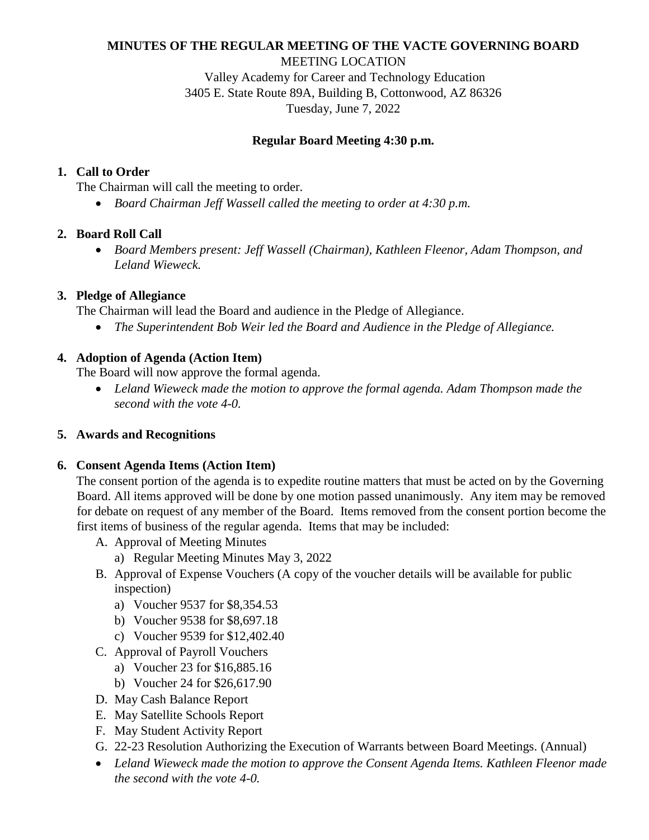# **MINUTES OF THE REGULAR MEETING OF THE VACTE GOVERNING BOARD**

MEETING LOCATION

Valley Academy for Career and Technology Education 3405 E. State Route 89A, Building B, Cottonwood, AZ 86326 Tuesday, June 7, 2022

#### **Regular Board Meeting 4:30 p.m.**

### **1. Call to Order**

The Chairman will call the meeting to order.

*Board Chairman Jeff Wassell called the meeting to order at 4:30 p.m.* 

### **2. Board Roll Call**

 *Board Members present: Jeff Wassell (Chairman), Kathleen Fleenor, Adam Thompson, and Leland Wieweck.* 

### **3. Pledge of Allegiance**

The Chairman will lead the Board and audience in the Pledge of Allegiance.

*The Superintendent Bob Weir led the Board and Audience in the Pledge of Allegiance.* 

# **4. Adoption of Agenda (Action Item)**

The Board will now approve the formal agenda.

 *Leland Wieweck made the motion to approve the formal agenda. Adam Thompson made the second with the vote 4-0.* 

# **5. Awards and Recognitions**

#### **6. Consent Agenda Items (Action Item)**

The consent portion of the agenda is to expedite routine matters that must be acted on by the Governing Board. All items approved will be done by one motion passed unanimously. Any item may be removed for debate on request of any member of the Board. Items removed from the consent portion become the first items of business of the regular agenda. Items that may be included:

- A. Approval of Meeting Minutes
	- a) Regular Meeting Minutes May 3, 2022
- B. Approval of Expense Vouchers (A copy of the voucher details will be available for public inspection)
	- a) Voucher 9537 for \$8,354.53
	- b) Voucher 9538 for \$8,697.18
	- c) Voucher 9539 for \$12,402.40
- C. Approval of Payroll Vouchers
	- a) Voucher 23 for \$16,885.16
	- b) Voucher 24 for \$26,617.90
- D. May Cash Balance Report
- E. May Satellite Schools Report
- F. May Student Activity Report
- G. 22-23 Resolution Authorizing the Execution of Warrants between Board Meetings. (Annual)
- *Leland Wieweck made the motion to approve the Consent Agenda Items. Kathleen Fleenor made the second with the vote 4-0.*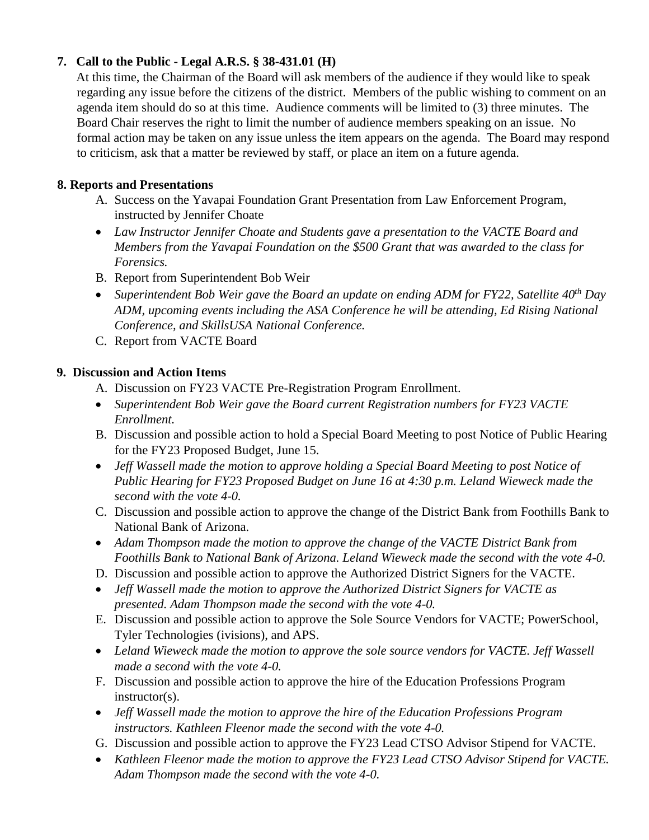### **7. Call to the Public - Legal A.R.S. § 38-431.01 (H)**

At this time, the Chairman of the Board will ask members of the audience if they would like to speak regarding any issue before the citizens of the district. Members of the public wishing to comment on an agenda item should do so at this time. Audience comments will be limited to (3) three minutes. The Board Chair reserves the right to limit the number of audience members speaking on an issue. No formal action may be taken on any issue unless the item appears on the agenda. The Board may respond to criticism, ask that a matter be reviewed by staff, or place an item on a future agenda.

### **8. Reports and Presentations**

- A. Success on the Yavapai Foundation Grant Presentation from Law Enforcement Program, instructed by Jennifer Choate
- *Law Instructor Jennifer Choate and Students gave a presentation to the VACTE Board and Members from the Yavapai Foundation on the \$500 Grant that was awarded to the class for Forensics.*
- B. Report from Superintendent Bob Weir
- *Superintendent Bob Weir gave the Board an update on ending ADM for FY22, Satellite 40th Day ADM, upcoming events including the ASA Conference he will be attending, Ed Rising National Conference, and SkillsUSA National Conference.*
- C. Report from VACTE Board

# **9. Discussion and Action Items**

- A. Discussion on FY23 VACTE Pre-Registration Program Enrollment.
- *Superintendent Bob Weir gave the Board current Registration numbers for FY23 VACTE Enrollment.*
- B. Discussion and possible action to hold a Special Board Meeting to post Notice of Public Hearing for the FY23 Proposed Budget, June 15.
- *Jeff Wassell made the motion to approve holding a Special Board Meeting to post Notice of Public Hearing for FY23 Proposed Budget on June 16 at 4:30 p.m. Leland Wieweck made the second with the vote 4-0.*
- C. Discussion and possible action to approve the change of the District Bank from Foothills Bank to National Bank of Arizona.
- *Adam Thompson made the motion to approve the change of the VACTE District Bank from Foothills Bank to National Bank of Arizona. Leland Wieweck made the second with the vote 4-0.*
- D. Discussion and possible action to approve the Authorized District Signers for the VACTE.
- *Jeff Wassell made the motion to approve the Authorized District Signers for VACTE as presented. Adam Thompson made the second with the vote 4-0.*
- E. Discussion and possible action to approve the Sole Source Vendors for VACTE; PowerSchool, Tyler Technologies (ivisions), and APS.
- Leland Wieweck made the motion to approve the sole source vendors for VACTE. Jeff Wassell *made a second with the vote 4-0.*
- F. Discussion and possible action to approve the hire of the Education Professions Program instructor(s).
- *Jeff Wassell made the motion to approve the hire of the Education Professions Program instructors. Kathleen Fleenor made the second with the vote 4-0.*
- G. Discussion and possible action to approve the FY23 Lead CTSO Advisor Stipend for VACTE.
- *Kathleen Fleenor made the motion to approve the FY23 Lead CTSO Advisor Stipend for VACTE. Adam Thompson made the second with the vote 4-0.*